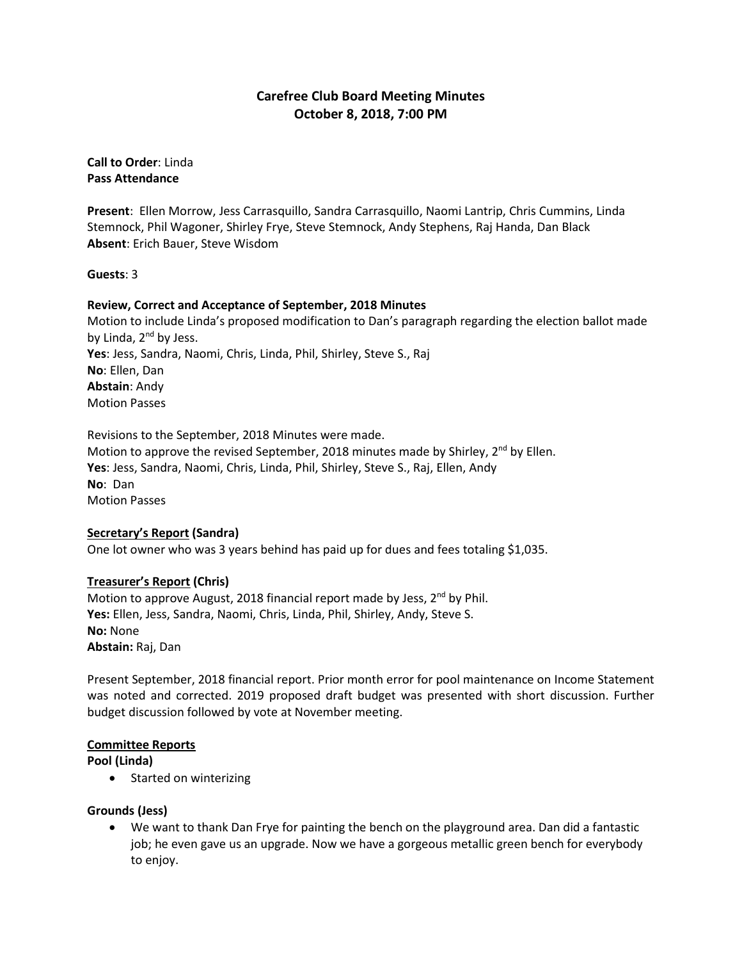# **Carefree Club Board Meeting Minutes October 8, 2018, 7:00 PM**

**Call to Order**: Linda **Pass Attendance**

**Present**: Ellen Morrow, Jess Carrasquillo, Sandra Carrasquillo, Naomi Lantrip, Chris Cummins, Linda Stemnock, Phil Wagoner, Shirley Frye, Steve Stemnock, Andy Stephens, Raj Handa, Dan Black **Absent**: Erich Bauer, Steve Wisdom

**Guests**: 3

## **Review, Correct and Acceptance of September, 2018 Minutes**

Motion to include Linda's proposed modification to Dan's paragraph regarding the election ballot made by Linda, 2<sup>nd</sup> by Jess. **Yes**: Jess, Sandra, Naomi, Chris, Linda, Phil, Shirley, Steve S., Raj **No**: Ellen, Dan **Abstain**: Andy Motion Passes

Revisions to the September, 2018 Minutes were made. Motion to approve the revised September, 2018 minutes made by Shirley, 2<sup>nd</sup> by Ellen. **Yes**: Jess, Sandra, Naomi, Chris, Linda, Phil, Shirley, Steve S., Raj, Ellen, Andy **No**: Dan Motion Passes

# **Secretary's Report (Sandra)**

One lot owner who was 3 years behind has paid up for dues and fees totaling \$1,035.

# **Treasurer's Report (Chris)**

Motion to approve August, 2018 financial report made by Jess, 2<sup>nd</sup> by Phil. **Yes:** Ellen, Jess, Sandra, Naomi, Chris, Linda, Phil, Shirley, Andy, Steve S. **No:** None **Abstain:** Raj, Dan

Present September, 2018 financial report. Prior month error for pool maintenance on Income Statement was noted and corrected. 2019 proposed draft budget was presented with short discussion. Further budget discussion followed by vote at November meeting.

# **Committee Reports**

**Pool (Linda)**

• Started on winterizing

# **Grounds (Jess)**

 We want to thank Dan Frye for painting the bench on the playground area. Dan did a fantastic job; he even gave us an upgrade. Now we have a gorgeous metallic green bench for everybody to enjoy.